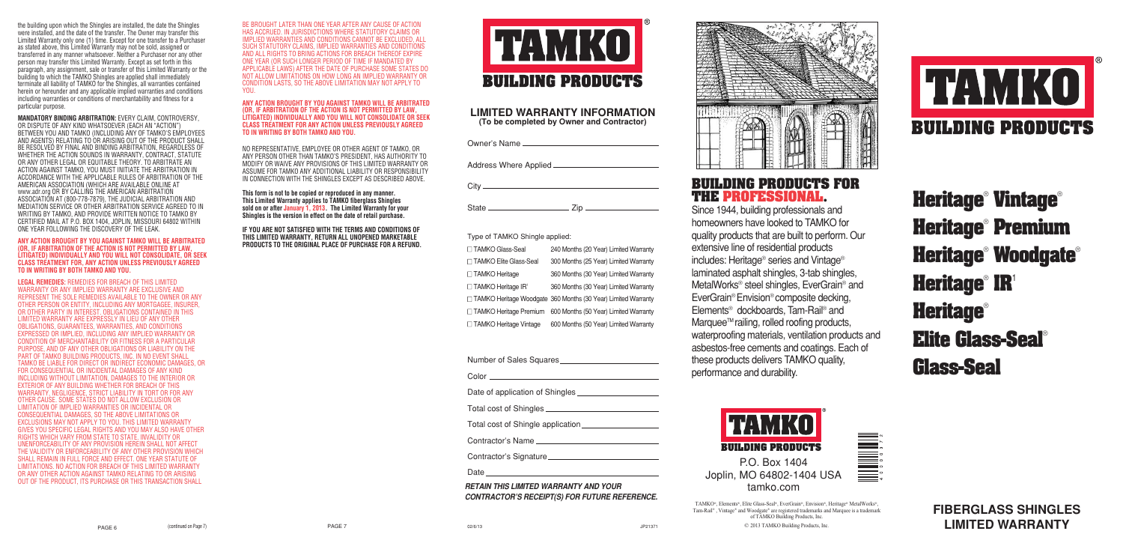**FIBERGLASS SHINGLES LIMITED WARRANTY**

**Heritage**® **Vintage**® **Heritage**® **Premium Heritage**® **Woodgate**® **Heritage**® **IR**<sup>1</sup> **Heritage**® **Elite Glass-Seal**® **Glass-Seal**



the building upon which the Shingles are installed, the date the Shingles were installed, and the date of the transfer. The Owner may transfer this Limited Warranty only one (1) time. Except for one transfer to a Purchaser as stated above, this Limited Warranty may not be sold, assigned or transferred in any manner whatsoever. Neither a Purchaser nor any other person may transfer this Limited Warranty. Except as set forth in this paragraph, any assignment, sale or transfer of this Limited Warranty or the building to which the TAMKO Shingles are applied shall immediately terminate all liability of TAMKO for the Shingles, all warranties contained herein or hereunder and any applicable implied warranties and conditions including warranties or conditions of merchantability and fitness for a particular purpose.

**MANDATORY BINDING ARBITRATION:** EVERY CLAIM, CONTROVERSY, OR DISPUTE OF ANY KIND WHATSOEVER (EACH AN "ACTION") BETWEEN YOU AND TAMKO (INCLUDING ANY OF TAMKO'S EMPLOYEES AND AGENTS) RELATING TO OR ARISING OUT OF THE PRODUCT SHALL BE RESOLVED BY FINAL AND BINDING ARBITRATION, REGARDLESS OF WHETHER THE ACTION SOUNDS IN WARRANTY, CONTRACT, STATUTE OR ANY OTHER LEGAL OR EQUITABLE THEORY. TO ARBITRATE AN ACTION AGAINST TAMKO, YOU MUST INITIATE THE ARBITRATION IN ACCORDANCE WITH THE APPLICABLE RULES OF ARBITRATION OF THE AMERICAN ASSOCIATION (WHICH ARE AVAILABLE ONLINE AT www.adr.org OR BY CALLING THE AMERICAN ARBITRATION ASSOCIATION AT (800-778-7879), THE JUDICIAL ARBITRATION AND MEDIATION SERVICE OR OTHER ARBITRATION SERVICE AGREED TO IN WRITING BY TAMKO, AND PROVIDE WRITTEN NOTICE TO TAMKO BY CERTIFIED MAIL AT P.O. BOX 1404, JOPLIN, MISSOURI 64802 WITHIN ONE YEAR FOLLOWING THE DISCOVERY OF THE LEAK.

#### **ANY ACTION BROUGHT BY YOU AGAINST TAMKO WILL BE ARBITRATED (OR, IF ARBITRATION OF THE ACTION IS NOT PERMITTED BY LAW, LITIGATED) INDIVIDUALLY AND YOU WILL NOT CONSOLIDATE, OR SEEK CLASS TREATMENT FOR, ANY ACTION UNLESS PREVIOUSLY AGREED TO IN WRITING BY BOTH TAMKO AND YOU.**

**LEGAL REMEDIES:** REMEDIES FOR BREACH OF THIS LIMITED WARRANTY OR ANY IMPLIED WARRANTY ARE EXCLUSIVE AND REPRESENT THE SOLE REMEDIES AVAILABLE TO THE OWNER OR ANY OTHER PERSON OR ENTITY, INCLUDING ANY MORTGAGEE, INSURER, OR OTHER PARTY IN INTEREST. OBLIGATIONS CONTAINED IN THIS LIMITED WARRANTY ARE EXPRESSLY IN LIEU OF ANY OTHER OBLIGATIONS, GUARANTEES, WARRANTIES, AND CONDITIONS EXPRESSED OR IMPLIED, INCLUDING ANY IMPLIED WARRANTY OR CONDITION OF MERCHANTABILITY OR FITNESS FOR A PARTICULAR PURPOSE, AND OF ANY OTHER OBLIGATIONS OR LIABILITY ON THE PART OF TAMKO BUILDING PRODUCTS, INC. IN NO EVENT SHALL TAMKO BE LIABLE FOR DIRECT OR INDIRECT ECONOMIC DAMAGES, OR FOR CONSEQUENTIAL OR INCIDENTAL DAMAGES OF ANY KIND INCLUDING WITHOUT LIMITATION, DAMAGES TO THE INTERIOR OR EXTERIOR OF ANY BUILDING WHETHER FOR BREACH OF THIS WARRANTY, NEGLIGENCE, STRICT LIABILITY IN TORT OR FOR ANY OTHER CAUSE. SOME STATES DO NOT ALLOW EXCLUSION OR LIMITATION OF IMPLIED WARRANTIES OR INCIDENTAL OR CONSEQUENTIAL DAMAGES, SO THE ABOVE LIMITATIONS OR EXCLUSIONS MAY NOT APPLY TO YOU. THIS LIMITED WARRANTY GIVES YOU SPECIFIC LEGAL RIGHTS AND YOU MAY ALSO HAVE OTHER RIGHTS WHICH VARY FROM STATE TO STATE. INVALIDITY OR UNENFORCEABILITY OF ANY PROVISION HEREIN SHALL NOT AFFECT THE VALIDITY OR ENFORCEABILITY OF ANY OTHER PROVISION WHICH SHALL REMAIN IN FULL FORCE AND EFFECT. ONE YEAR STATUTE OF LIMITATIONS. NO ACTION FOR BREACH OF THIS LIMITED WARRANTY OR ANY OTHER ACTION AGAINST TAMKO RELATING TO OR ARISING OUT OF THE PRODUCT, ITS PURCHASE OR THIS TRANSACTION SHALL

02/6/13 JP21371

# **LIMITED WARRANTY INFORMATION (To be completed by Owner and Contractor)**

Owner's Name

Address Where Applied **Constant Constant Constant Constant Constant Constant Constant Constant Constant Constant Constant Constant Constant Constant Constant Constant Constant Constant Constant Constant Constant Constant C** 

City

 $State$   $Zip$ 

# Type of TAMKO Shingle applied:

| □ TAMKO Glass-Seal               | 240 Months (20 Year) Limited Warranty                           |
|----------------------------------|-----------------------------------------------------------------|
| □ TAMKO Elite Glass-Seal         | 300 Months (25 Year) Limited Warranty                           |
| □ TAMKO Heritage                 | 360 Months (30 Year) Limited Warranty                           |
| □ TAMKO Heritage IR <sup>®</sup> | 360 Months (30 Year) Limited Warranty                           |
|                                  | □ TAMKO Heritage Woodgate 360 Months (30 Year) Limited Warranty |
| □ TAMKO Heritage Premium         | 600 Months (50 Year) Limited Warranty                           |
| □ TAMKO Heritage Vintage         | 600 Months (50 Year) Limited Warranty                           |

|  | Number of Sales Squares |  |
|--|-------------------------|--|
|  |                         |  |

Color

Date of application of Shingles

Total cost of Shingles

Total cost of Shingle application

Contractor's Name

Contractor's Signature

Date and the state of the state of the state of the state of the state of the state of the state of the state of the state of the state of the state of the state of the state of the state of the state of the state of the s

# **BUILDING PRODUCTS FOR THE PROFESSIONAL.**

Since 1944, building professionals and homeowners have looked to TAMKO for quality products that are built to perform. Our extensive line of residential products includes: Heritage® series and Vintage® laminated asphalt shingles, 3-tab shingles, MetalWorks® steel shingles, EverGrain® and EverGrain® Envision® composite decking, Elements® dockboards, Tam-Rail® and Marquee<sup>™</sup> railing, rolled roofing products, waterproofing materials, ventilation products and asbestos-free cements and coatings. Each of these products delivers TAMKO quality, performance and durability.



P.O. Box 1404 Joplin, MO 64802-1404 USA tamko.com

TAMKO®, Elements®, Elite Glass-Seal®, EverGrain®, Envision®, Heritage® MetalWorks®, Tam-Rail® , Vintage® and Woodgate® are registered trademarks and Marquee is a trademark of TAMKO Building Products, Inc.

© 2013 TAMKO Building Products, Inc.





# **RETAIN THIS LIMITED WARRANTY AND YOUR CONTRACTOR'S RECEIPT(S) FOR FUTURE REFERENCE.**



BE BROUGHT LATER THAN ONE YEAR AFTER ANY CAUSE OF ACTION HAS ACCRUED. IN JURISDICTIONS WHERE STATUTORY CLAIMS OR IMPLIED WARRANTIES AND CONDITIONS CANNOT BE EXCLUDED, ALL SUCH STATUTORY CLAIMS, IMPLIED WARRANTIES AND CONDITIONS AND ALL RIGHTS TO BRING ACTIONS FOR BREACH THEREOF EXPIRE ONE YEAR (OR SUCH LONGER PERIOD OF TIME IF MANDATED BY APPLICABLE LAWS) AFTER THE DATE OF PURCHASE SOME STATES DO NOT ALLOW LIMITATIONS ON HOW LONG AN IMPLIED WARRANTY OR CONDITION LASTS, SO THE ABOVE LIMITATION MAY NOT APPLY TO YOU.

### **ANY ACTION BROUGHT BY YOU AGAINST TAMKO WILL BE ARBITRATED (OR, IF ARBITRATION OF THE ACTION IS NOT PERMITTED BY LAW, LITIGATED) INDIVIDUALLY AND YOU WILL NOT CONSOLIDATE OR SEEK CLASS TREATMENT FOR ANY ACTION UNLESS PREVIOUSLY AGREED TO IN WRITING BY BOTH TAMKO AND YOU.**

NO REPRESENTATIVE, EMPLOYEE OR OTHER AGENT OF TAMKO, OR ANY PERSON OTHER THAN TAMKO'S PRESIDENT, HAS AUTHORITY TO MODIFY OR WAIVE ANY PROVISIONS OF THIS LIMITED WARRANTY OR ASSUME FOR TAMKO ANY ADDITIONAL LIABILITY OR RESPONSIBILITY IN CONNECTION WITH THE SHINGLES EXCEPT AS DESCRIBED ABOVE.

**This form is not to be copied or reproduced in any manner. This Limited Warranty applies to TAMKO fiberglass Shingles sold on or after January 1, 2013. The Limited Warranty for your Shingles is the version in effect on the date of retail purchase.** 

**IF YOU ARE NOT SATISFIED WITH THE TERMS AND CONDITIONS OF THIS LIMITED WARRANTY, RETURN ALL UNOPENED MARKETABLE PRODUCTS TO THE ORIGINAL PLACE OF PURCHASE FOR A REFUND.**